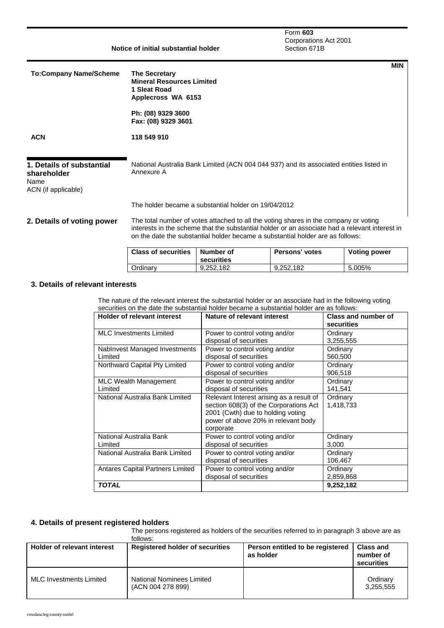| Notice of initial substantial holder                                    |                                                                                                                                                                                                                                                                          | Form 603<br>Corporations Act 2001<br>Section 671B                                       |
|-------------------------------------------------------------------------|--------------------------------------------------------------------------------------------------------------------------------------------------------------------------------------------------------------------------------------------------------------------------|-----------------------------------------------------------------------------------------|
| <b>To:Company Name/Scheme</b>                                           | <b>The Secretary</b><br><b>Mineral Resources Limited</b><br>1 Sleat Road<br>Applecross WA 6153                                                                                                                                                                           | <b>MIN</b>                                                                              |
|                                                                         | Ph: (08) 9329 3600<br>Fax: (08) 9329 3601                                                                                                                                                                                                                                |                                                                                         |
| <b>ACN</b>                                                              | 118 549 910                                                                                                                                                                                                                                                              |                                                                                         |
| 1. Details of substantial<br>shareholder<br>Name<br>ACN (if applicable) | Annexure A                                                                                                                                                                                                                                                               | National Australia Bank Limited (ACN 004 044 937) and its associated entities listed in |
|                                                                         | The holder became a substantial holder on 19/04/2012                                                                                                                                                                                                                     |                                                                                         |
| 2. Details of voting power                                              | The total number of votes attached to all the voting shares in the company or voting<br>interests in the scheme that the substantial holder or an associate had a relevant interest in<br>on the date the substantial holder became a substantial holder are as follows: |                                                                                         |

| <b>Class of securities</b> | Number of<br>securities | Persons' votes | <b>Voting power</b> |
|----------------------------|-------------------------|----------------|---------------------|
| Ordinarv                   | 9.252.182               | 9.252.182      | 5.005%              |

### **3. Details of relevant interests**

The nature of the relevant interest the substantial holder or an associate had in the following voting securities on the date the substantial holder became a substantial holder are as follows:

| <b>Holder of relevant interest</b>       | Nature of relevant interest                                                                                                                                                 | <b>Class and number of</b><br>securities |
|------------------------------------------|-----------------------------------------------------------------------------------------------------------------------------------------------------------------------------|------------------------------------------|
| <b>MLC Investments Limited</b>           | Power to control voting and/or<br>disposal of securities                                                                                                                    | Ordinary<br>3,255,555                    |
| Nablnvest Managed Investments<br>Limited | Power to control voting and/or<br>disposal of securities                                                                                                                    | Ordinary<br>560,500                      |
| Northward Capital Pty Limited            | Power to control voting and/or<br>disposal of securities                                                                                                                    | Ordinary<br>906,518                      |
| MLC Wealth Management<br>Limited         | Power to control voting and/or<br>disposal of securities                                                                                                                    | Ordinary<br>141,541                      |
| National Australia Bank Limited          | Relevant Interest arising as a result of<br>section 608(3) of the Corporations Act<br>2001 (Cwth) due to holding voting<br>power of above 20% in relevant body<br>corporate | Ordinary<br>1,418,733                    |
| National Australia Bank<br>Limited       | Power to control voting and/or<br>disposal of securities                                                                                                                    | Ordinary<br>3,000                        |
| National Australia Bank Limited          | Power to control voting and/or<br>disposal of securities                                                                                                                    | Ordinary<br>106,467                      |
| Antares Capital Partners Limited         | Power to control voting and/or<br>disposal of securities                                                                                                                    | Ordinary<br>2,859,868                    |
| <b>TOTAL</b>                             |                                                                                                                                                                             | 9,252,182                                |

## **4. Details of present registered holders**

The persons registered as holders of the securities referred to in paragraph 3 above are as follows:

| <b>Holder of relevant interest</b> | <b>Registered holder of securities</b>         | Person entitled to be registered<br>as holder | <b>Class and</b><br>number of<br>securities |
|------------------------------------|------------------------------------------------|-----------------------------------------------|---------------------------------------------|
| <b>MLC Investments Limited</b>     | National Nominees Limited<br>(ACN 004 278 899) |                                               | Ordinary<br>3.255.555                       |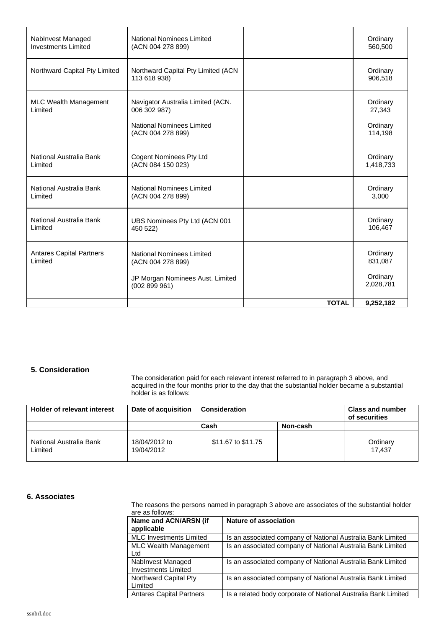| Nablnvest Managed                       | National Nominees Limited                                                                           |              | Ordinary                                  |
|-----------------------------------------|-----------------------------------------------------------------------------------------------------|--------------|-------------------------------------------|
| <b>Investments Limited</b>              | (ACN 004 278 899)                                                                                   |              | 560,500                                   |
| Northward Capital Pty Limited           | Northward Capital Pty Limited (ACN<br>113 618 938)                                                  |              | Ordinary<br>906,518                       |
| <b>MLC Wealth Management</b><br>Limited | Navigator Australia Limited (ACN.<br>006 302 987)<br>National Nominees Limited<br>(ACN 004 278 899) |              | Ordinary<br>27,343<br>Ordinary<br>114,198 |
| National Australia Bank                 | <b>Cogent Nominees Pty Ltd</b>                                                                      |              | Ordinary                                  |
| Limited                                 | (ACN 084 150 023)                                                                                   |              | 1,418,733                                 |
| National Australia Bank                 | <b>National Nominees Limited</b>                                                                    |              | Ordinary                                  |
| Limited                                 | (ACN 004 278 899)                                                                                   |              | 3,000                                     |
| National Australia Bank                 | UBS Nominees Pty Ltd (ACN 001                                                                       |              | Ordinary                                  |
| Limited                                 | 450 522)                                                                                            |              | 106,467                                   |
| <b>Antares Capital Partners</b>         | National Nominees Limited                                                                           |              | Ordinary                                  |
| Limited                                 | (ACN 004 278 899)                                                                                   |              | 831,087                                   |
|                                         | JP Morgan Nominees Aust. Limited<br>(002899961)                                                     |              | Ordinary<br>2,028,781                     |
|                                         |                                                                                                     | <b>TOTAL</b> | 9,252,182                                 |

### **5. Consideration**

The consideration paid for each relevant interest referred to in paragraph 3 above, and acquired in the four months prior to the day that the substantial holder became a substantial holder is as follows:

| Holder of relevant interest        | Date of acquisition         | <b>Consideration</b> |          | <b>Class and number</b><br>of securities |
|------------------------------------|-----------------------------|----------------------|----------|------------------------------------------|
|                                    |                             | Cash                 | Non-cash |                                          |
| National Australia Bank<br>Limited | 18/04/2012 to<br>19/04/2012 | \$11.67 to \$11.75   |          | Ordinary<br>17.437                       |

#### **6. Associates**

The reasons the persons named in paragraph 3 above are associates of the substantial holder are as follows:

| Name and ACN/ARSN (if<br>applicable             | Nature of association                                          |
|-------------------------------------------------|----------------------------------------------------------------|
| <b>MLC Investments Limited</b>                  | Is an associated company of National Australia Bank Limited    |
| <b>MLC Wealth Management</b><br>Ltd             | Is an associated company of National Australia Bank Limited    |
| Nablnvest Managed<br><b>Investments Limited</b> | Is an associated company of National Australia Bank Limited    |
| Northward Capital Pty<br>Limited                | Is an associated company of National Australia Bank Limited    |
| <b>Antares Capital Partners</b>                 | Is a related body corporate of National Australia Bank Limited |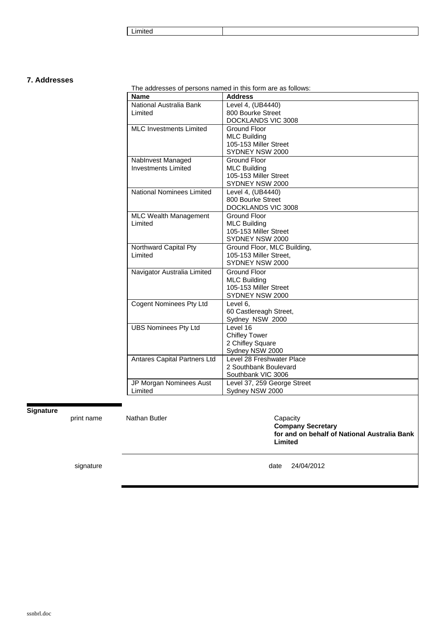**Limited** 

### **7. Addresses**

The addresses of persons named in this form are as follows:

| Name                                    | <b>Address</b>                               |
|-----------------------------------------|----------------------------------------------|
| National Australia Bank                 | Level 4, (UB4440)                            |
| Limited                                 | 800 Bourke Street                            |
|                                         | DOCKLANDS VIC 3008                           |
| <b>MLC Investments Limited</b>          | Ground Floor                                 |
|                                         | <b>MLC Building</b><br>105-153 Miller Street |
|                                         | SYDNEY NSW 2000                              |
| Nablnvest Managed                       | <b>Ground Floor</b>                          |
| <b>Investments Limited</b>              | <b>MLC Building</b>                          |
|                                         | 105-153 Miller Street                        |
|                                         | SYDNEY NSW 2000                              |
| <b>National Nominees Limited</b>        | Level 4, (UB4440)                            |
|                                         | 800 Bourke Street                            |
|                                         | DOCKLANDS VIC 3008                           |
| <b>MLC Wealth Management</b><br>Limited | Ground Floor                                 |
|                                         | <b>MLC Building</b><br>105-153 Miller Street |
|                                         | SYDNEY NSW 2000                              |
| Northward Capital Pty                   | Ground Floor, MLC Building,                  |
| Limited                                 | 105-153 Miller Street,                       |
|                                         | SYDNEY NSW 2000                              |
| Navigator Australia Limited             | Ground Floor                                 |
|                                         | <b>MLC Building</b>                          |
|                                         | 105-153 Miller Street                        |
|                                         | SYDNEY NSW 2000                              |
| <b>Cogent Nominees Pty Ltd</b>          | Level 6.<br>60 Castlereagh Street,           |
|                                         | Sydney NSW 2000                              |
| <b>UBS Nominees Pty Ltd</b>             | Level 16                                     |
|                                         | <b>Chifley Tower</b>                         |
|                                         | 2 Chifley Square                             |
|                                         | Sydney NSW 2000                              |
| Antares Capital Partners Ltd            | Level 28 Freshwater Place                    |
|                                         | 2 Southbank Boulevard                        |
|                                         | Southbank VIC 3006                           |
| JP Morgan Nominees Aust                 | Level 37, 259 George Street                  |
| Limited                                 | Sydney NSW 2000                              |

## **Signature**

print name Mathan Butler Capacity

**Company Secretary for and on behalf of National Australia Bank Limited** 

signature date 24/04/2012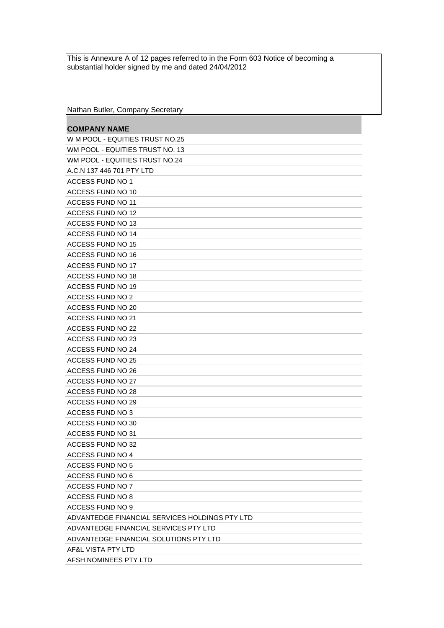This is Annexure A of 12 pages referred to in the Form 603 Notice of becoming a substantial holder signed by me and dated 24/04/2012

Nathan Butler, Company Secretary

# **COMPANY NAME**

| W M POOL - EQUITIES TRUST NO.25                |
|------------------------------------------------|
| WM POOL - EQUITIES TRUST NO. 13                |
| WM POOL - EQUITIES TRUST NO.24                 |
| A.C.N 137 446 701 PTY LTD                      |
| <b>ACCESS FUND NO 1</b>                        |
| ACCESS FUND NO 10                              |
| ACCESS FUND NO 11                              |
| ACCESS FUND NO 12                              |
| ACCESS FUND NO 13                              |
| ACCESS FUND NO 14                              |
| ACCESS FUND NO 15                              |
| ACCESS FUND NO 16                              |
| ACCESS FUND NO 17                              |
| ACCESS FUND NO 18                              |
| ACCESS FUND NO 19                              |
| ACCESS FUND NO 2                               |
| ACCESS FUND NO 20                              |
| ACCESS FUND NO 21                              |
| ACCESS FUND NO 22                              |
| ACCESS FUND NO 23                              |
| <b>ACCESS FUND NO 24</b>                       |
| ACCESS FUND NO 25                              |
| ACCESS FUND NO 26                              |
| <b>ACCESS FUND NO 27</b>                       |
| ACCESS FUND NO 28                              |
| <b>ACCESS FUND NO 29</b>                       |
| ACCESS FUND NO 3                               |
| ACCESS FUND NO 30                              |
| <b>ACCESS FUND NO 31</b>                       |
| ACCESS FUND NO 32                              |
| <b>ACCESS FUND NO 4</b>                        |
| <b>ACCESS FUND NO 5</b>                        |
| ACCESS FUND NO 6                               |
| <b>ACCESS FUND NO 7</b>                        |
| <b>ACCESS FUND NO 8</b>                        |
| <b>ACCESS FUND NO 9</b>                        |
| ADVANTEDGE FINANCIAL SERVICES HOLDINGS PTY LTD |
| ADVANTEDGE FINANCIAL SERVICES PTY LTD          |
| ADVANTEDGE FINANCIAL SOLUTIONS PTY LTD         |
| AF&L VISTA PTY LTD                             |
| AFSH NOMINEES PTY LTD                          |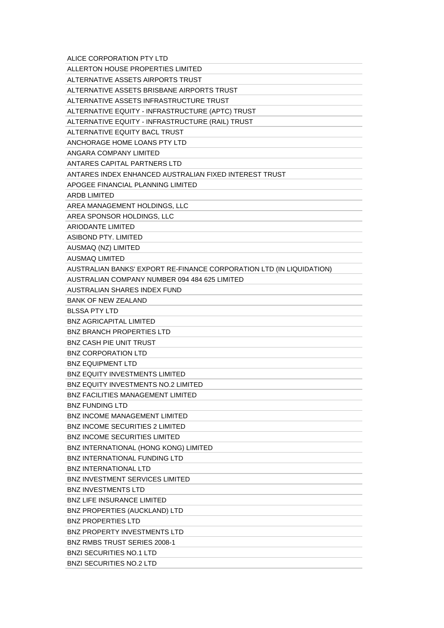| ALICE CORPORATION PTY LTD                                            |
|----------------------------------------------------------------------|
| ALLERTON HOUSE PROPERTIES LIMITED                                    |
| ALTERNATIVE ASSETS AIRPORTS TRUST                                    |
| ALTERNATIVE ASSETS BRISBANE AIRPORTS TRUST                           |
| ALTERNATIVE ASSETS INFRASTRUCTURE TRUST                              |
| ALTERNATIVE EQUITY - INFRASTRUCTURE (APTC) TRUST                     |
| ALTERNATIVE EQUITY - INFRASTRUCTURE (RAIL) TRUST                     |
| ALTERNATIVE EQUITY BACL TRUST                                        |
| ANCHORAGE HOME LOANS PTY LTD                                         |
| ANGARA COMPANY LIMITED                                               |
| ANTARES CAPITAL PARTNERS LTD                                         |
| ANTARES INDEX ENHANCED AUSTRALIAN FIXED INTEREST TRUST               |
| APOGEE FINANCIAL PLANNING LIMITED                                    |
| ARDB LIMITED                                                         |
| AREA MANAGEMENT HOLDINGS, LLC                                        |
| AREA SPONSOR HOLDINGS, LLC                                           |
| <b>ARIODANTE LIMITED</b>                                             |
| ASIBOND PTY, LIMITED                                                 |
| AUSMAQ (NZ) LIMITED                                                  |
| <b>AUSMAQ LIMITED</b>                                                |
| AUSTRALIAN BANKS' EXPORT RE-FINANCE CORPORATION LTD (IN LIQUIDATION) |
| AUSTRALIAN COMPANY NUMBER 094 484 625 LIMITED                        |
| AUSTRALIAN SHARES INDEX FUND                                         |
| <b>BANK OF NEW ZEALAND</b>                                           |
| <b>BLSSA PTY LTD</b>                                                 |
| <b>BNZ AGRICAPITAL LIMITED</b>                                       |
| <b>BNZ BRANCH PROPERTIES LTD</b>                                     |
| <b>BNZ CASH PIE UNIT TRUST</b>                                       |
| <b>BNZ CORPORATION LTD</b>                                           |
| <b>BNZ EQUIPMENT LTD</b>                                             |
| <b>BNZ EQUITY INVESTMENTS LIMITED</b>                                |
| BNZ EQUITY INVESTMENTS NO.2 LIMITED                                  |
| <b>BNZ FACILITIES MANAGEMENT LIMITED</b>                             |
| <b>BNZ FUNDING LTD</b>                                               |
| <b>BNZ INCOME MANAGEMENT LIMITED</b>                                 |
| <b>BNZ INCOME SECURITIES 2 LIMITED</b>                               |
| <b>BNZ INCOME SECURITIES LIMITED</b>                                 |
| BNZ INTERNATIONAL (HONG KONG) LIMITED                                |
| <b>BNZ INTERNATIONAL FUNDING LTD</b>                                 |
| <b>BNZ INTERNATIONAL LTD</b>                                         |
| <b>BNZ INVESTMENT SERVICES LIMITED</b>                               |
| <b>BNZ INVESTMENTS LTD</b>                                           |
| <b>BNZ LIFE INSURANCE LIMITED</b>                                    |
| BNZ PROPERTIES (AUCKLAND) LTD                                        |
| <b>BNZ PROPERTIES LTD</b>                                            |
| <b>BNZ PROPERTY INVESTMENTS LTD</b>                                  |
| <b>BNZ RMBS TRUST SERIES 2008-1</b>                                  |
| <b>BNZI SECURITIES NO.1 LTD</b>                                      |
| <b>BNZI SECURITIES NO.2 LTD</b>                                      |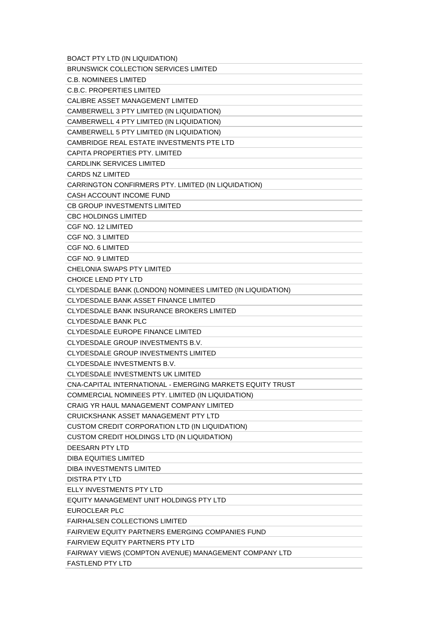| <b>BOACT PTY LTD (IN LIQUIDATION)</b>                      |
|------------------------------------------------------------|
| <b>BRUNSWICK COLLECTION SERVICES LIMITED</b>               |
| C.B. NOMINEES LIMITED                                      |
| <b>C.B.C. PROPERTIES LIMITED</b>                           |
| CALIBRE ASSET MANAGEMENT LIMITED                           |
| CAMBERWELL 3 PTY LIMITED (IN LIQUIDATION)                  |
| CAMBERWELL 4 PTY LIMITED (IN LIQUIDATION)                  |
| CAMBERWELL 5 PTY LIMITED (IN LIQUIDATION)                  |
| CAMBRIDGE REAL ESTATE INVESTMENTS PTE LTD                  |
| CAPITA PROPERTIES PTY. LIMITED                             |
| <b>CARDLINK SERVICES LIMITED</b>                           |
| <b>CARDS NZ LIMITED</b>                                    |
| CARRINGTON CONFIRMERS PTY. LIMITED (IN LIQUIDATION)        |
| CASH ACCOUNT INCOME FUND                                   |
| CB GROUP INVESTMENTS LIMITED                               |
| <b>CBC HOLDINGS LIMITED</b>                                |
| CGF NO. 12 LIMITED                                         |
| CGF NO. 3 LIMITED                                          |
| CGF NO. 6 LIMITED                                          |
| CGF NO. 9 LIMITED                                          |
| CHELONIA SWAPS PTY LIMITED                                 |
| <b>CHOICE LEND PTY LTD</b>                                 |
| CLYDESDALE BANK (LONDON) NOMINEES LIMITED (IN LIQUIDATION) |
| CLYDESDALE BANK ASSET FINANCE LIMITED                      |
| CLYDESDALE BANK INSURANCE BROKERS LIMITED                  |
| <b>CLYDESDALE BANK PLC</b>                                 |
| CLYDESDALE EUROPE FINANCE LIMITED                          |
| CLYDESDALE GROUP INVESTMENTS B.V.                          |
| <b>CLYDESDALE GROUP INVESTMENTS LIMITED</b>                |
| CLYDESDALE INVESTMENTS B.V.                                |
| <b>CLYDESDALE INVESTMENTS UK LIMITED</b>                   |
| CNA-CAPITAL INTERNATIONAL - EMERGING MARKETS EQUITY TRUST  |
| COMMERCIAL NOMINEES PTY. LIMITED (IN LIQUIDATION)          |
| CRAIG YR HAUL MANAGEMENT COMPANY LIMITED                   |
| CRUICKSHANK ASSET MANAGEMENT PTY LTD                       |
| CUSTOM CREDIT CORPORATION LTD (IN LIQUIDATION)             |
| CUSTOM CREDIT HOLDINGS LTD (IN LIQUIDATION)                |
| DEESARN PTY LTD                                            |
| DIBA EQUITIES LIMITED                                      |
| DIBA INVESTMENTS LIMITED                                   |
| <b>DISTRA PTY LTD</b>                                      |
| ELLY INVESTMENTS PTY LTD                                   |
| EQUITY MANAGEMENT UNIT HOLDINGS PTY LTD                    |
| EUROCLEAR PLC                                              |
| FAIRHALSEN COLLECTIONS LIMITED                             |
| FAIRVIEW EQUITY PARTNERS EMERGING COMPANIES FUND           |
| <b>FAIRVIEW EQUITY PARTNERS PTY LTD</b>                    |
| FAIRWAY VIEWS (COMPTON AVENUE) MANAGEMENT COMPANY LTD      |
| FASTLEND PTY LTD                                           |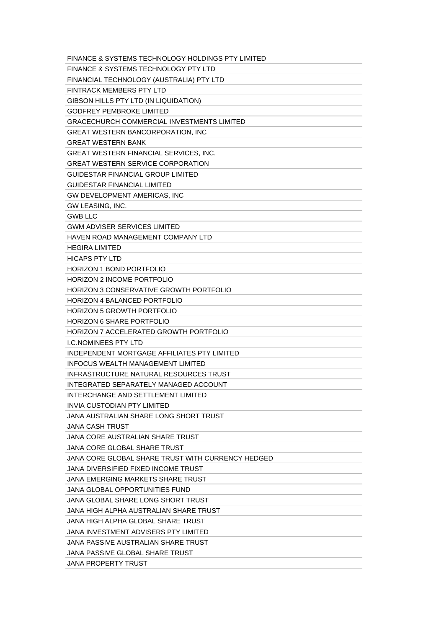| FINANCE & SYSTEMS TECHNOLOGY HOLDINGS PTY LIMITED |
|---------------------------------------------------|
| FINANCE & SYSTEMS TECHNOLOGY PTY LTD              |
| FINANCIAL TECHNOLOGY (AUSTRALIA) PTY LTD          |
| FINTRACK MEMBERS PTY LTD                          |
| GIBSON HILLS PTY LTD (IN LIQUIDATION)             |
| <b>GODFREY PEMBROKE LIMITED</b>                   |
| <b>GRACECHURCH COMMERCIAL INVESTMENTS LIMITED</b> |
| <b>GREAT WESTERN BANCORPORATION, INC</b>          |
| <b>GREAT WESTERN BANK</b>                         |
| GREAT WESTERN FINANCIAL SERVICES, INC.            |
| <b>GREAT WESTERN SERVICE CORPORATION</b>          |
| <b>GUIDESTAR FINANCIAL GROUP LIMITED</b>          |
| <b>GUIDESTAR FINANCIAL LIMITED</b>                |
| GW DEVELOPMENT AMERICAS, INC                      |
| GW LEASING, INC.                                  |
| <b>GWB LLC</b>                                    |
| <b>GWM ADVISER SERVICES LIMITED</b>               |
| HAVEN ROAD MANAGEMENT COMPANY LTD                 |
| <b>HEGIRA LIMITED</b>                             |
| <b>HICAPS PTY LTD</b>                             |
| HORIZON 1 BOND PORTFOLIO                          |
| <b>HORIZON 2 INCOME PORTFOLIO</b>                 |
| <b>HORIZON 3 CONSERVATIVE GROWTH PORTFOLIO</b>    |
| <b>HORIZON 4 BALANCED PORTFOLIO</b>               |
| <b>HORIZON 5 GROWTH PORTFOLIO</b>                 |
| <b>HORIZON 6 SHARE PORTFOLIO</b>                  |
| <b>HORIZON 7 ACCELERATED GROWTH PORTFOLIO</b>     |
| <b>I.C.NOMINEES PTY LTD</b>                       |
| INDEPENDENT MORTGAGE AFFILIATES PTY LIMITED       |
| INFOCUS WEALTH MANAGEMENT LIMITED                 |
| INFRASTRUCTURE NATURAL RESOURCES TRUST            |
| INTEGRATED SEPARATELY MANAGED ACCOUNT             |
| INTERCHANGE AND SETTLEMENT LIMITED                |
| <b>INVIA CUSTODIAN PTY LIMITED</b>                |
| JANA AUSTRALIAN SHARE LONG SHORT TRUST            |
| <b>JANA CASH TRUST</b>                            |
| JANA CORE AUSTRALIAN SHARE TRUST                  |
| <b>JANA CORE GLOBAL SHARE TRUST</b>               |
| JANA CORE GLOBAL SHARE TRUST WITH CURRENCY HEDGED |
| <b>JANA DIVERSIFIED FIXED INCOME TRUST</b>        |
| <b>JANA EMERGING MARKETS SHARE TRUST</b>          |
| JANA GLOBAL OPPORTUNITIES FUND                    |
| JANA GLOBAL SHARE LONG SHORT TRUST                |
| JANA HIGH ALPHA AUSTRALIAN SHARE TRUST            |
| JANA HIGH ALPHA GLOBAL SHARE TRUST                |
| JANA INVESTMENT ADVISERS PTY LIMITED              |
| JANA PASSIVE AUSTRALIAN SHARE TRUST               |
| JANA PASSIVE GLOBAL SHARE TRUST                   |
| JANA PROPERTY TRUST                               |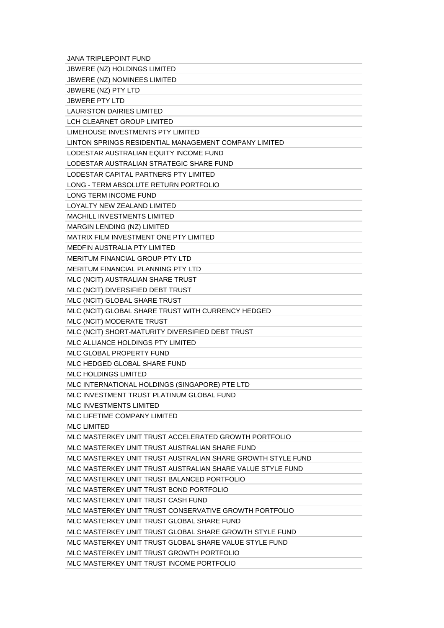| <b>JANA TRIPLEPOINT FUND</b>                                |
|-------------------------------------------------------------|
| <b>JBWERE (NZ) HOLDINGS LIMITED</b>                         |
| JBWERE (NZ) NOMINEES LIMITED                                |
| JBWERE (NZ) PTY LTD                                         |
| <b>JBWERE PTY LTD</b>                                       |
| <b>LAURISTON DAIRIES LIMITED</b>                            |
| LCH CLEARNET GROUP LIMITED                                  |
| LIMEHOUSE INVESTMENTS PTY LIMITED                           |
| LINTON SPRINGS RESIDENTIAL MANAGEMENT COMPANY LIMITED       |
| LODESTAR AUSTRALIAN EQUITY INCOME FUND                      |
| LODESTAR AUSTRALIAN STRATEGIC SHARE FUND                    |
| LODESTAR CAPITAL PARTNERS PTY LIMITED                       |
| LONG - TERM ABSOLUTE RETURN PORTFOLIO                       |
| LONG TERM INCOME FUND                                       |
| LOYALTY NEW ZEALAND LIMITED                                 |
| <b>MACHILL INVESTMENTS LIMITED</b>                          |
| MARGIN LENDING (NZ) LIMITED                                 |
| MATRIX FILM INVESTMENT ONE PTY LIMITED                      |
| <b>MEDFIN AUSTRALIA PTY LIMITED</b>                         |
| <b>MERITUM FINANCIAL GROUP PTY LTD</b>                      |
| MERITUM FINANCIAL PLANNING PTY LTD                          |
| MLC (NCIT) AUSTRALIAN SHARE TRUST                           |
| MLC (NCIT) DIVERSIFIED DEBT TRUST                           |
| MLC (NCIT) GLOBAL SHARE TRUST                               |
| MLC (NCIT) GLOBAL SHARE TRUST WITH CURRENCY HEDGED          |
| MLC (NCIT) MODERATE TRUST                                   |
| MLC (NCIT) SHORT-MATURITY DIVERSIFIED DEBT TRUST            |
| MLC ALLIANCE HOLDINGS PTY LIMITED                           |
| MLC GLOBAL PROPERTY FUND                                    |
| MLC HEDGED GLOBAL SHARE FUND                                |
| MLC HOLDINGS LIMITED                                        |
| MLC INTERNATIONAL HOLDINGS (SINGAPORE) PTE LTD              |
| MLC INVESTMENT TRUST PLATINUM GLOBAL FUND                   |
| MLC INVESTMENTS LIMITED                                     |
| MLC LIFETIME COMPANY LIMITED                                |
| <b>MLC LIMITED</b>                                          |
| MLC MASTERKEY UNIT TRUST ACCELERATED GROWTH PORTFOLIO       |
| MLC MASTERKEY UNIT TRUST AUSTRALIAN SHARE FUND              |
| MLC MASTERKEY UNIT TRUST AUSTRALIAN SHARE GROWTH STYLE FUND |
| MLC MASTERKEY UNIT TRUST AUSTRALIAN SHARE VALUE STYLE FUND  |
| MLC MASTERKEY UNIT TRUST BALANCED PORTFOLIO                 |
| MLC MASTERKEY UNIT TRUST BOND PORTFOLIO                     |
| MLC MASTERKEY UNIT TRUST CASH FUND                          |
| MLC MASTERKEY UNIT TRUST CONSERVATIVE GROWTH PORTFOLIO      |
| MLC MASTERKEY UNIT TRUST GLOBAL SHARE FUND                  |
| MLC MASTERKEY UNIT TRUST GLOBAL SHARE GROWTH STYLE FUND     |
| MLC MASTERKEY UNIT TRUST GLOBAL SHARE VALUE STYLE FUND      |
| MLC MASTERKEY UNIT TRUST GROWTH PORTFOLIO                   |
| MLC MASTERKEY UNIT TRUST INCOME PORTFOLIO                   |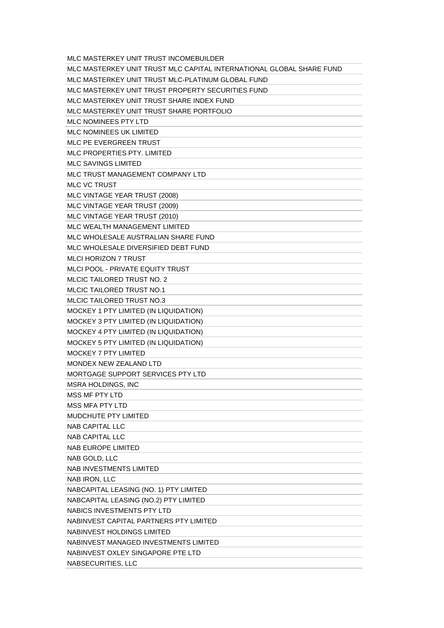| MLC MASTERKEY UNIT TRUST INCOMEBUILDER                               |
|----------------------------------------------------------------------|
| MLC MASTERKEY UNIT TRUST MLC CAPITAL INTERNATIONAL GLOBAL SHARE FUND |
| MLC MASTERKEY UNIT TRUST MLC-PLATINUM GLOBAL FUND                    |
| MLC MASTERKEY UNIT TRUST PROPERTY SECURITIES FUND                    |
| MLC MASTERKEY UNIT TRUST SHARE INDEX FUND                            |
| MLC MASTERKEY UNIT TRUST SHARE PORTFOLIO                             |
| MLC NOMINEES PTY LTD                                                 |
| MLC NOMINEES UK LIMITED                                              |
| MLC PE EVERGREEN TRUST                                               |
| MLC PROPERTIES PTY, LIMITED                                          |
| <b>MLC SAVINGS LIMITED</b>                                           |
| MLC TRUST MANAGEMENT COMPANY LTD                                     |
| <b>MLC VC TRUST</b>                                                  |
| MLC VINTAGE YEAR TRUST (2008)                                        |
| MLC VINTAGE YEAR TRUST (2009)                                        |
| MLC VINTAGE YEAR TRUST (2010)                                        |
| MLC WEALTH MANAGEMENT LIMITED                                        |
| MLC WHOLESALE AUSTRALIAN SHARE FUND                                  |
| MLC WHOLESALE DIVERSIFIED DEBT FUND                                  |
| MLCI HORIZON 7 TRUST                                                 |
| MLCI POOL - PRIVATE EQUITY TRUST                                     |
| MLCIC TAILORED TRUST NO. 2                                           |
| <b>MLCIC TAILORED TRUST NO.1</b>                                     |
| <b>MLCIC TAILORED TRUST NO.3</b>                                     |
| MOCKEY 1 PTY LIMITED (IN LIQUIDATION)                                |
| MOCKEY 3 PTY LIMITED (IN LIQUIDATION)                                |
| MOCKEY 4 PTY LIMITED (IN LIQUIDATION)                                |
| MOCKEY 5 PTY LIMITED (IN LIQUIDATION)                                |
| <b>MOCKEY 7 PTY LIMITED</b>                                          |
| MONDEX NEW ZEALAND LTD                                               |
| MORTGAGE SUPPORT SERVICES PTY LTD                                    |
| <b>MSRA HOLDINGS, INC</b>                                            |
| <b>MSS MF PTY LTD</b>                                                |
| <b>MSS MFA PTY LTD</b>                                               |
| MUDCHUTE PTY LIMITED                                                 |
| <b>NAB CAPITAL LLC</b>                                               |
| <b>NAB CAPITAL LLC</b>                                               |
| <b>NAB EUROPE LIMITED</b>                                            |
| NAB GOLD, LLC                                                        |
| <b>NAB INVESTMENTS LIMITED</b>                                       |
| NAB IRON, LLC                                                        |
| NABCAPITAL LEASING (NO. 1) PTY LIMITED                               |
| NABCAPITAL LEASING (NO.2) PTY LIMITED                                |
| NABICS INVESTMENTS PTY LTD                                           |
| NABINVEST CAPITAL PARTNERS PTY LIMITED                               |
| NABINVEST HOLDINGS LIMITED                                           |
| NABINVEST MANAGED INVESTMENTS LIMITED                                |
| NABINVEST OXLEY SINGAPORE PTE LTD                                    |
| NABSECURITIES, LLC                                                   |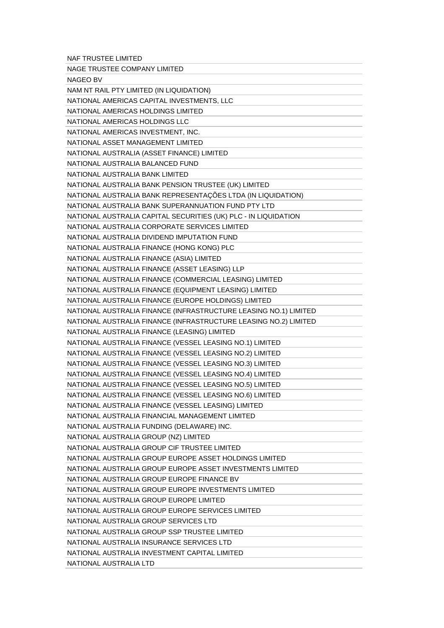| NAF TRUSTEE LIMITED                                              |
|------------------------------------------------------------------|
| NAGE TRUSTEE COMPANY LIMITED                                     |
| <b>NAGEO BV</b>                                                  |
| NAM NT RAIL PTY LIMITED (IN LIQUIDATION)                         |
| NATIONAL AMERICAS CAPITAL INVESTMENTS, LLC                       |
| NATIONAL AMERICAS HOLDINGS LIMITED                               |
| NATIONAL AMERICAS HOLDINGS LLC                                   |
| NATIONAL AMERICAS INVESTMENT, INC.                               |
| NATIONAL ASSET MANAGEMENT LIMITED                                |
| NATIONAL AUSTRALIA (ASSET FINANCE) LIMITED                       |
| NATIONAL AUSTRALIA BALANCED FUND                                 |
| NATIONAL AUSTRALIA BANK LIMITED                                  |
| NATIONAL AUSTRALIA BANK PENSION TRUSTEE (UK) LIMITED             |
| NATIONAL AUSTRALIA BANK REPRESENTAÇÕES LTDA (IN LIQUIDATION)     |
| NATIONAL AUSTRALIA BANK SUPERANNUATION FUND PTY LTD              |
| NATIONAL AUSTRALIA CAPITAL SECURITIES (UK) PLC - IN LIQUIDATION  |
| NATIONAL AUSTRALIA CORPORATE SERVICES LIMITED                    |
| NATIONAL AUSTRALIA DIVIDEND IMPUTATION FUND                      |
| NATIONAL AUSTRALIA FINANCE (HONG KONG) PLC                       |
| NATIONAL AUSTRALIA FINANCE (ASIA) LIMITED                        |
| NATIONAL AUSTRALIA FINANCE (ASSET LEASING) LLP                   |
| NATIONAL AUSTRALIA FINANCE (COMMERCIAL LEASING) LIMITED          |
| NATIONAL AUSTRALIA FINANCE (EQUIPMENT LEASING) LIMITED           |
| NATIONAL AUSTRALIA FINANCE (EUROPE HOLDINGS) LIMITED             |
| NATIONAL AUSTRALIA FINANCE (INFRASTRUCTURE LEASING NO.1) LIMITED |
| NATIONAL AUSTRALIA FINANCE (INFRASTRUCTURE LEASING NO.2) LIMITED |
| NATIONAL AUSTRALIA FINANCE (LEASING) LIMITED                     |
| NATIONAL AUSTRALIA FINANCE (VESSEL LEASING NO.1) LIMITED         |
| NATIONAL AUSTRALIA FINANCE (VESSEL LEASING NO.2) LIMITED         |
| NATIONAL AUSTRALIA FINANCE (VESSEL LEASING NO.3) LIMITED         |
| NATIONAL AUSTRALIA FINANCE (VESSEL LEASING NO.4) LIMITED         |
| NATIONAL AUSTRALIA FINANCE (VESSEL LEASING NO.5) LIMITED         |
| NATIONAL AUSTRALIA FINANCE (VESSEL LEASING NO.6) LIMITED         |
| NATIONAL AUSTRALIA FINANCE (VESSEL LEASING) LIMITED              |
| NATIONAL AUSTRALIA FINANCIAL MANAGEMENT LIMITED                  |
| NATIONAL AUSTRALIA FUNDING (DELAWARE) INC.                       |
| NATIONAL AUSTRALIA GROUP (NZ) LIMITED                            |
| NATIONAL AUSTRALIA GROUP CIF TRUSTEE LIMITED                     |
| NATIONAL AUSTRALIA GROUP EUROPE ASSET HOLDINGS LIMITED           |
| NATIONAL AUSTRALIA GROUP EUROPE ASSET INVESTMENTS LIMITED        |
| NATIONAL AUSTRALIA GROUP EUROPE FINANCE BV                       |
| NATIONAL AUSTRALIA GROUP EUROPE INVESTMENTS LIMITED              |
| NATIONAL AUSTRALIA GROUP EUROPE LIMITED                          |
| NATIONAL AUSTRALIA GROUP EUROPE SERVICES LIMITED                 |
| NATIONAL AUSTRALIA GROUP SERVICES LTD                            |
| NATIONAL AUSTRALIA GROUP SSP TRUSTEE LIMITED                     |
| NATIONAL AUSTRALIA INSURANCE SERVICES LTD                        |
| NATIONAL AUSTRALIA INVESTMENT CAPITAL LIMITED                    |
| NATIONAL AUSTRALIA LTD                                           |
|                                                                  |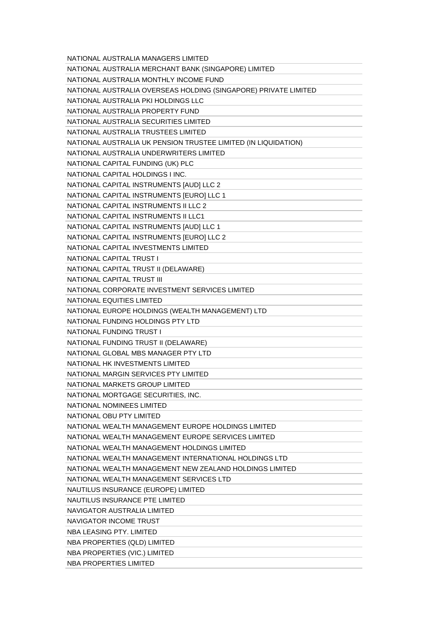| NATIONAL AUSTRALIA MANAGERS LIMITED                             |
|-----------------------------------------------------------------|
| NATIONAL AUSTRALIA MERCHANT BANK (SINGAPORE) LIMITED            |
| NATIONAL AUSTRALIA MONTHLY INCOME FUND                          |
| NATIONAL AUSTRALIA OVERSEAS HOLDING (SINGAPORE) PRIVATE LIMITED |
| NATIONAL AUSTRALIA PKI HOLDINGS LLC                             |
| NATIONAL AUSTRALIA PROPERTY FUND                                |
| NATIONAL AUSTRALIA SECURITIES LIMITED                           |
| NATIONAL AUSTRALIA TRUSTEES LIMITED                             |
| NATIONAL AUSTRALIA UK PENSION TRUSTEE LIMITED (IN LIQUIDATION)  |
| NATIONAL AUSTRALIA UNDERWRITERS LIMITED                         |
| NATIONAL CAPITAL FUNDING (UK) PLC                               |
| NATIONAL CAPITAL HOLDINGS I INC.                                |
| NATIONAL CAPITAL INSTRUMENTS [AUD] LLC 2                        |
| NATIONAL CAPITAL INSTRUMENTS [EURO] LLC 1                       |
| NATIONAL CAPITAL INSTRUMENTS II LLC 2                           |
| NATIONAL CAPITAL INSTRUMENTS II LLC1                            |
| NATIONAL CAPITAL INSTRUMENTS [AUD] LLC 1                        |
| NATIONAL CAPITAL INSTRUMENTS [EURO] LLC 2                       |
| NATIONAL CAPITAL INVESTMENTS LIMITED                            |
| NATIONAL CAPITAL TRUST I                                        |
| NATIONAL CAPITAL TRUST II (DELAWARE)                            |
| NATIONAL CAPITAL TRUST III                                      |
| NATIONAL CORPORATE INVESTMENT SERVICES LIMITED                  |
| NATIONAL EQUITIES LIMITED                                       |
| NATIONAL EUROPE HOLDINGS (WEALTH MANAGEMENT) LTD                |
| NATIONAL FUNDING HOLDINGS PTY LTD                               |
| NATIONAL FUNDING TRUST I                                        |
| NATIONAL FUNDING TRUST II (DELAWARE)                            |
| NATIONAL GLOBAL MBS MANAGER PTY LTD                             |
| NATIONAL HK INVESTMENTS LIMITED                                 |
| NATIONAL MARGIN SERVICES PTY LIMITED                            |
| NATIONAL MARKETS GROUP LIMITED                                  |
| NATIONAL MORTGAGE SECURITIES, INC.                              |
| NATIONAL NOMINEES LIMITED                                       |
| NATIONAL OBU PTY LIMITED                                        |
| NATIONAL WEALTH MANAGEMENT EUROPE HOLDINGS LIMITED              |
| NATIONAL WEALTH MANAGEMENT EUROPE SERVICES LIMITED              |
| NATIONAL WEALTH MANAGEMENT HOLDINGS LIMITED                     |
| NATIONAL WEALTH MANAGEMENT INTERNATIONAL HOLDINGS LTD           |
| NATIONAL WEALTH MANAGEMENT NEW ZEALAND HOLDINGS LIMITED         |
| NATIONAL WEALTH MANAGEMENT SERVICES LTD                         |
| NAUTILUS INSURANCE (EUROPE) LIMITED                             |
| NAUTILUS INSURANCE PTE LIMITED                                  |
| NAVIGATOR AUSTRALIA LIMITED                                     |
| NAVIGATOR INCOME TRUST                                          |
| NBA LEASING PTY, LIMITED                                        |
| NBA PROPERTIES (QLD) LIMITED                                    |
| NBA PROPERTIES (VIC.) LIMITED                                   |
| NBA PROPERTIES LIMITED                                          |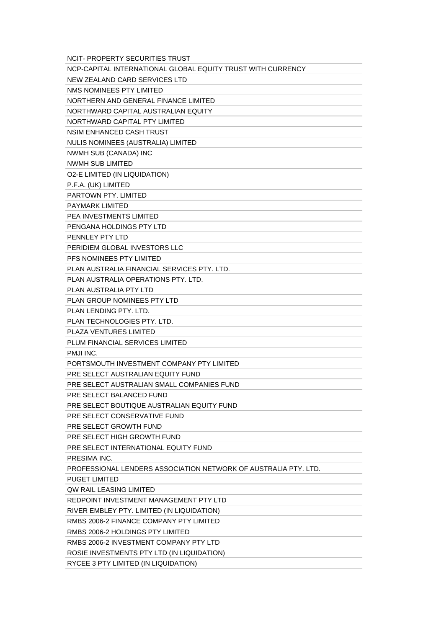| <b>NCIT- PROPERTY SECURITIES TRUST</b>                          |
|-----------------------------------------------------------------|
| NCP-CAPITAL INTERNATIONAL GLOBAL EQUITY TRUST WITH CURRENCY     |
| NEW ZEALAND CARD SERVICES LTD                                   |
| NMS NOMINEES PTY LIMITED                                        |
| NORTHERN AND GENERAL FINANCE LIMITED                            |
| NORTHWARD CAPITAL AUSTRALIAN EQUITY                             |
| NORTHWARD CAPITAL PTY LIMITED                                   |
| NSIM ENHANCED CASH TRUST                                        |
| NULIS NOMINEES (AUSTRALIA) LIMITED                              |
| NWMH SUB (CANADA) INC                                           |
| NWMH SUB LIMITED                                                |
| <b>O2-E LIMITED (IN LIQUIDATION)</b>                            |
| P.F.A. (UK) LIMITED                                             |
| PARTOWN PTY, LIMITED                                            |
| <b>PAYMARK LIMITED</b>                                          |
| <b>PEA INVESTMENTS LIMITED</b>                                  |
| PENGANA HOLDINGS PTY LTD                                        |
| PENNLEY PTY LTD                                                 |
| PERIDIEM GLOBAL INVESTORS LLC                                   |
| PFS NOMINEES PTY LIMITED                                        |
| PLAN AUSTRALIA FINANCIAL SERVICES PTY, LTD.                     |
| PLAN AUSTRALIA OPERATIONS PTY, LTD.                             |
| PLAN AUSTRALIA PTY LTD                                          |
| PLAN GROUP NOMINEES PTY LTD                                     |
| PLAN LENDING PTY, LTD.                                          |
| PLAN TECHNOLOGIES PTY, LTD.                                     |
| PLAZA VENTURES LIMITED                                          |
| PLUM FINANCIAL SERVICES LIMITED                                 |
| PMJI INC.                                                       |
| PORTSMOUTH INVESTMENT COMPANY PTY LIMITED                       |
| PRE SELECT AUSTRALIAN EQUITY FUND                               |
| PRE SELECT AUSTRALIAN SMALL COMPANIES FUND                      |
| PRE SELECT BALANCED FUND                                        |
| PRE SELECT BOUTIQUE AUSTRALIAN EQUITY FUND                      |
| PRE SELECT CONSERVATIVE FUND                                    |
| PRE SELECT GROWTH FUND                                          |
| PRE SELECT HIGH GROWTH FUND                                     |
| PRE SELECT INTERNATIONAL EQUITY FUND                            |
| PRESIMA INC.                                                    |
| PROFESSIONAL LENDERS ASSOCIATION NETWORK OF AUSTRALIA PTY, LTD. |
| <b>PUGET LIMITED</b>                                            |
| <b>QW RAIL LEASING LIMITED</b>                                  |
| REDPOINT INVESTMENT MANAGEMENT PTY LTD                          |
| RIVER EMBLEY PTY. LIMITED (IN LIQUIDATION)                      |
| RMBS 2006-2 FINANCE COMPANY PTY LIMITED                         |
| RMBS 2006-2 HOLDINGS PTY LIMITED                                |
| RMBS 2006-2 INVESTMENT COMPANY PTY LTD                          |
| ROSIE INVESTMENTS PTY LTD (IN LIQUIDATION)                      |
| RYCEE 3 PTY LIMITED (IN LIQUIDATION)                            |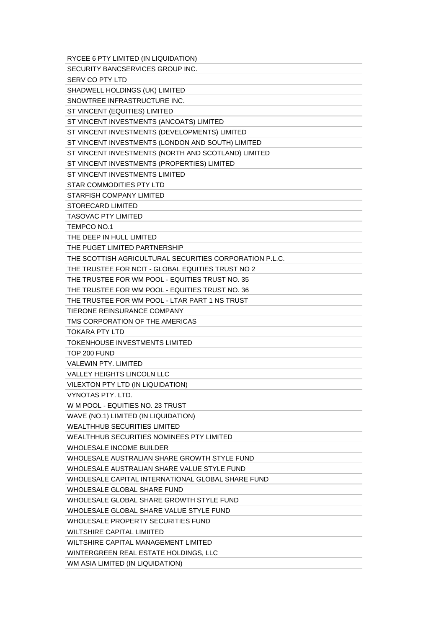| RYCEE 6 PTY LIMITED (IN LIQUIDATION)                                      |
|---------------------------------------------------------------------------|
| SECURITY BANCSERVICES GROUP INC.                                          |
| <b>SERV CO PTY LTD</b>                                                    |
| SHADWELL HOLDINGS (UK) LIMITED                                            |
| SNOWTREE INFRASTRUCTURE INC.                                              |
| ST VINCENT (EQUITIES) LIMITED                                             |
| ST VINCENT INVESTMENTS (ANCOATS) LIMITED                                  |
| ST VINCENT INVESTMENTS (DEVELOPMENTS) LIMITED                             |
| ST VINCENT INVESTMENTS (LONDON AND SOUTH) LIMITED                         |
| ST VINCENT INVESTMENTS (NORTH AND SCOTLAND) LIMITED                       |
| ST VINCENT INVESTMENTS (PROPERTIES) LIMITED                               |
| ST VINCENT INVESTMENTS LIMITED                                            |
| <b>STAR COMMODITIES PTY LTD</b>                                           |
| STARFISH COMPANY LIMITED                                                  |
| STORECARD LIMITED                                                         |
| <b>TASOVAC PTY LIMITED</b>                                                |
| TEMPCO NO.1                                                               |
| THE DEEP IN HULL LIMITED                                                  |
| THE PUGET LIMITED PARTNERSHIP                                             |
| THE SCOTTISH AGRICULTURAL SECURITIES CORPORATION P.L.C.                   |
| THE TRUSTEE FOR NCIT - GLOBAL EQUITIES TRUST NO 2                         |
| THE TRUSTEE FOR WM POOL - EQUITIES TRUST NO. 35                           |
| THE TRUSTEE FOR WM POOL - EQUITIES TRUST NO. 36                           |
| THE TRUSTEE FOR WM POOL - LTAR PART 1 NS TRUST                            |
| TIERONE REINSURANCE COMPANY                                               |
| TMS CORPORATION OF THE AMERICAS                                           |
|                                                                           |
| TOKARA PTY LTD                                                            |
| <b>TOKENHOUSE INVESTMENTS LIMITED</b>                                     |
| TOP 200 FUND                                                              |
| <b>VALEWIN PTY, LIMITED</b>                                               |
| VALLEY HEIGHTS LINCOLN LLC                                                |
| VILEXTON PTY LTD (IN LIQUIDATION)                                         |
| <b>VYNOTAS PTY, LTD.</b>                                                  |
| W M POOL - EQUITIES NO. 23 TRUST                                          |
| WAVE (NO.1) LIMITED (IN LIQUIDATION)                                      |
| <b>WEALTHHUB SECURITIES LIMITED</b>                                       |
| WEALTHHUB SECURITIES NOMINEES PTY LIMITED                                 |
| <b>WHOLESALE INCOME BUILDER</b>                                           |
| WHOLESALE AUSTRALIAN SHARE GROWTH STYLE FUND                              |
| WHOLESALE AUSTRALIAN SHARE VALUE STYLE FUND                               |
| WHOLESALE CAPITAL INTERNATIONAL GLOBAL SHARE FUND                         |
| WHOLESALE GLOBAL SHARE FUND                                               |
| WHOLESALE GLOBAL SHARE GROWTH STYLE FUND                                  |
| WHOLESALE GLOBAL SHARE VALUE STYLE FUND                                   |
| WHOLESALE PROPERTY SECURITIES FUND                                        |
| <b>WILTSHIRE CAPITAL LIMIITED</b>                                         |
| WILTSHIRE CAPITAL MANAGEMENT LIMITED                                      |
| WINTERGREEN REAL ESTATE HOLDINGS, LLC<br>WM ASIA LIMITED (IN LIQUIDATION) |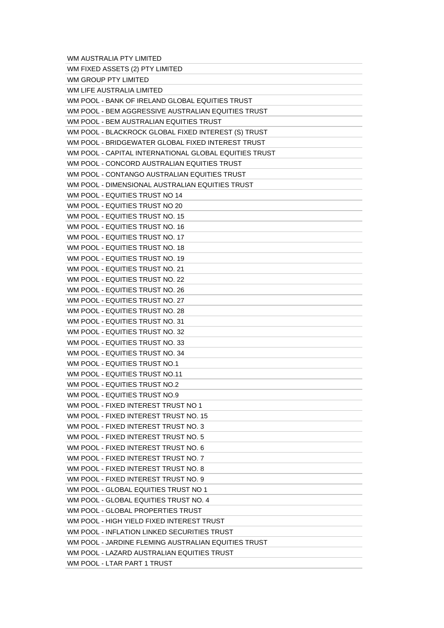WM AUSTRALIA PTY LIMITED

| WM FIXED ASSETS (2) PTY LIMITED                       |
|-------------------------------------------------------|
| WM GROUP PTY LIMITED                                  |
| WM LIFE AUSTRALIA LIMITED                             |
| WM POOL - BANK OF IRELAND GLOBAL EQUITIES TRUST       |
| WM POOL - BEM AGGRESSIVE AUSTRALIAN EQUITIES TRUST    |
| WM POOL - BEM AUSTRALIAN EQUITIES TRUST               |
| WM POOL - BLACKROCK GLOBAL FIXED INTEREST (S) TRUST   |
| WM POOL - BRIDGEWATER GLOBAL FIXED INTEREST TRUST     |
| WM POOL - CAPITAL INTERNATIONAL GLOBAL EQUITIES TRUST |
| WM POOL - CONCORD AUSTRALIAN EQUITIES TRUST           |
| WM POOL - CONTANGO AUSTRALIAN EQUITIES TRUST          |
|                                                       |
| WM POOL - DIMENSIONAL AUSTRALIAN EQUITIES TRUST       |
| WM POOL - EQUITIES TRUST NO 14                        |
| WM POOL - EQUITIES TRUST NO 20                        |
| WM POOL - EQUITIES TRUST NO. 15                       |
| WM POOL - EQUITIES TRUST NO. 16                       |
| WM POOL - EQUITIES TRUST NO. 17                       |
| WM POOL - EQUITIES TRUST NO. 18                       |
| WM POOL - EQUITIES TRUST NO. 19                       |
| WM POOL - EQUITIES TRUST NO. 21                       |
| WM POOL - EQUITIES TRUST NO. 22                       |
| WM POOL - EQUITIES TRUST NO. 26                       |
| WM POOL - EQUITIES TRUST NO. 27                       |
| WM POOL - EQUITIES TRUST NO. 28                       |
| WM POOL - EQUITIES TRUST NO. 31                       |
| WM POOL - EQUITIES TRUST NO. 32                       |
| WM POOL - EQUITIES TRUST NO. 33                       |
| WM POOL - EQUITIES TRUST NO. 34                       |
| WM POOL - EQUITIES TRUST NO.1                         |
| WM POOL - EQUITIES TRUST NO.11                        |
| WM POOL - EQUITIES TRUST NO.2                         |
| WM POOL - EQUITIES TRUST NO.9                         |
| WM POOL - FIXED INTEREST TRUST NO 1                   |
| WM POOL - FIXED INTEREST TRUST NO. 15                 |
| WM POOL - FIXED INTEREST TRUST NO. 3                  |
| WM POOL - FIXED INTEREST TRUST NO. 5                  |
| WM POOL - FIXED INTEREST TRUST NO. 6                  |
| WM POOL - FIXED INTEREST TRUST NO. 7                  |
| WM POOL - FIXED INTEREST TRUST NO. 8                  |
|                                                       |
| WM POOL - FIXED INTEREST TRUST NO. 9                  |
| WM POOL - GLOBAL EQUITIES TRUST NO 1                  |
| WM POOL - GLOBAL EQUITIES TRUST NO. 4                 |
| WM POOL - GLOBAL PROPERTIES TRUST                     |
| WM POOL - HIGH YIELD FIXED INTEREST TRUST             |
| WM POOL - INFLATION LINKED SECURITIES TRUST           |
| WM POOL - JARDINE FLEMING AUSTRALIAN EQUITIES TRUST   |
| WM POOL - LAZARD AUSTRALIAN EQUITIES TRUST            |
| WM POOL - LTAR PART 1 TRUST                           |